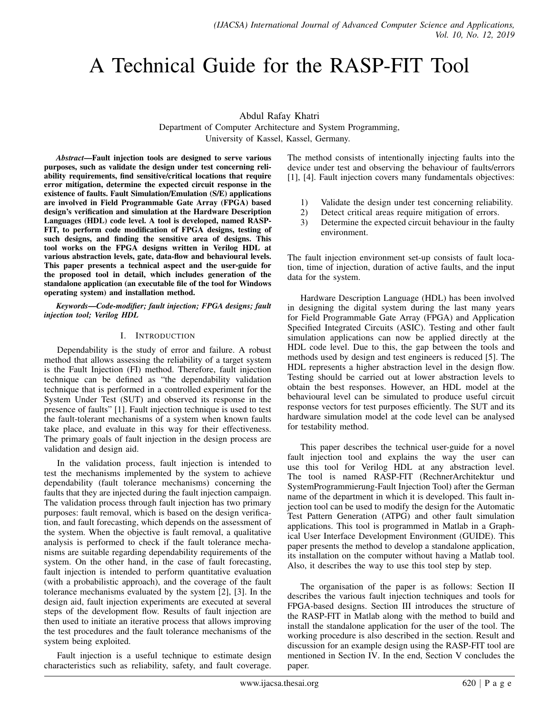# A Technical Guide for the RASP-FIT Tool

Abdul Rafay Khatri

Department of Computer Architecture and System Programming, University of Kassel, Kassel, Germany.

*Abstract*—Fault injection tools are designed to serve various purposes, such as validate the design under test concerning reliability requirements, find sensitive/critical locations that require error mitigation, determine the expected circuit response in the existence of faults. Fault Simulation/Emulation (S/E) applications are involved in Field Programmable Gate Array (FPGA) based design's verification and simulation at the Hardware Description Languages (HDL) code level. A tool is developed, named RASP-FIT, to perform code modification of FPGA designs, testing of such designs, and finding the sensitive area of designs. This tool works on the FPGA designs written in Verilog HDL at various abstraction levels, gate, data-flow and behavioural levels. This paper presents a technical aspect and the user-guide for the proposed tool in detail, which includes generation of the standalone application (an executable file of the tool for Windows operating system) and installation method.

*Keywords*—*Code-modifier; fault injection; FPGA designs; fault injection tool; Verilog HDL*

### I. INTRODUCTION

Dependability is the study of error and failure. A robust method that allows assessing the reliability of a target system is the Fault Injection (FI) method. Therefore, fault injection technique can be defined as "the dependability validation technique that is performed in a controlled experiment for the System Under Test (SUT) and observed its response in the presence of faults" [1]. Fault injection technique is used to test the fault-tolerant mechanisms of a system when known faults take place, and evaluate in this way for their effectiveness. The primary goals of fault injection in the design process are validation and design aid.

In the validation process, fault injection is intended to test the mechanisms implemented by the system to achieve dependability (fault tolerance mechanisms) concerning the faults that they are injected during the fault injection campaign. The validation process through fault injection has two primary purposes: fault removal, which is based on the design verification, and fault forecasting, which depends on the assessment of the system. When the objective is fault removal, a qualitative analysis is performed to check if the fault tolerance mechanisms are suitable regarding dependability requirements of the system. On the other hand, in the case of fault forecasting, fault injection is intended to perform quantitative evaluation (with a probabilistic approach), and the coverage of the fault tolerance mechanisms evaluated by the system [2], [3]. In the design aid, fault injection experiments are executed at several steps of the development flow. Results of fault injection are then used to initiate an iterative process that allows improving the test procedures and the fault tolerance mechanisms of the system being exploited.

Fault injection is a useful technique to estimate design characteristics such as reliability, safety, and fault coverage.

The method consists of intentionally injecting faults into the device under test and observing the behaviour of faults/errors [1], [4]. Fault injection covers many fundamentals objectives:

- 1) Validate the design under test concerning reliability.
- 2) Detect critical areas require mitigation of errors.<br>3) Determine the expected circuit behaviour in the fa
- Determine the expected circuit behaviour in the faulty environment.

The fault injection environment set-up consists of fault location, time of injection, duration of active faults, and the input data for the system.

Hardware Description Language (HDL) has been involved in designing the digital system during the last many years for Field Programmable Gate Array (FPGA) and Application Specified Integrated Circuits (ASIC). Testing and other fault simulation applications can now be applied directly at the HDL code level. Due to this, the gap between the tools and methods used by design and test engineers is reduced [5]. The HDL represents a higher abstraction level in the design flow. Testing should be carried out at lower abstraction levels to obtain the best responses. However, an HDL model at the behavioural level can be simulated to produce useful circuit response vectors for test purposes efficiently. The SUT and its hardware simulation model at the code level can be analysed for testability method.

This paper describes the technical user-guide for a novel fault injection tool and explains the way the user can use this tool for Verilog HDL at any abstraction level. The tool is named RASP-FIT (RechnerArchitektur und SystemProgrammierung-Fault Injection Tool) after the German name of the department in which it is developed. This fault injection tool can be used to modify the design for the Automatic Test Pattern Generation (ATPG) and other fault simulation applications. This tool is programmed in Matlab in a Graphical User Interface Development Environment (GUIDE). This paper presents the method to develop a standalone application, its installation on the computer without having a Matlab tool. Also, it describes the way to use this tool step by step.

The organisation of the paper is as follows: Section II describes the various fault injection techniques and tools for FPGA-based designs. Section III introduces the structure of the RASP-FIT in Matlab along with the method to build and install the standalone application for the user of the tool. The working procedure is also described in the section. Result and discussion for an example design using the RASP-FIT tool are mentioned in Section IV. In the end, Section V concludes the paper.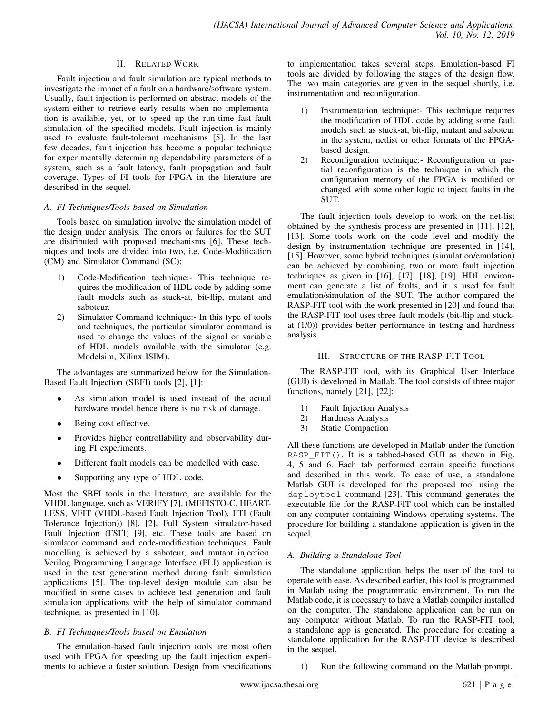### II. RELATED WORK

Fault injection and fault simulation are typical methods to investigate the impact of a fault on a hardware/software system. Usually, fault injection is performed on abstract models of the system either to retrieve early results when no implementation is available, yet, or to speed up the run-time fast fault simulation of the specified models. Fault injection is mainly used to evaluate fault-tolerant mechanisms [5]. In the last few decades, fault injection has become a popular technique for experimentally determining dependability parameters of a system, such as a fault latency, fault propagation and fault coverage. Types of FI tools for FPGA in the literature are described in the sequel.

### *A. FI Techniques/Tools based on Simulation*

Tools based on simulation involve the simulation model of the design under analysis. The errors or failures for the SUT are distributed with proposed mechanisms [6]. These techniques and tools are divided into two, i.e. Code-Modification (CM) and Simulator Command (SC):

- 1) Code-Modification technique:- This technique requires the modification of HDL code by adding some fault models such as stuck-at, bit-flip, mutant and saboteur.
- 2) Simulator Command technique:- In this type of tools and techniques, the particular simulator command is used to change the values of the signal or variable of HDL models available with the simulator (e.g. Modelsim, Xilinx ISIM).

The advantages are summarized below for the Simulation-Based Fault Injection (SBFI) tools [2], [1]:

- As simulation model is used instead of the actual hardware model hence there is no risk of damage.
- Being cost effective.
- Provides higher controllability and observability during FI experiments.
- Different fault models can be modelled with ease.
- Supporting any type of HDL code.

Most the SBFI tools in the literature, are available for the VHDL language, such as VERIFY [7], (MEFISTO-C, HEART-LESS, VFIT (VHDL-based Fault Injection Tool), FTI (Fault Tolerance Injection)) [8], [2], Full System simulator-based Fault Injection (FSFI) [9], etc. These tools are based on simulator command and code-modification techniques. Fault modelling is achieved by a saboteur, and mutant injection. Verilog Programming Language Interface (PLI) application is used in the test generation method during fault simulation applications [5]. The top-level design module can also be modified in some cases to achieve test generation and fault simulation applications with the help of simulator command technique, as presented in [10].

### *B. FI Techniques/Tools based on Emulation*

The emulation-based fault injection tools are most often used with FPGA for speeding up the fault injection experiments to achieve a faster solution. Design from specifications to implementation takes several steps. Emulation-based FI tools are divided by following the stages of the design flow. The two main categories are given in the sequel shortly, i.e. instrumentation and reconfiguration.

- 1) Instrumentation technique:- This technique requires the modification of HDL code by adding some fault models such as stuck-at, bit-flip, mutant and saboteur in the system, netlist or other formats of the FPGAbased design.
- 2) Reconfiguration technique:- Reconfiguration or partial reconfiguration is the technique in which the configuration memory of the FPGA is modified or changed with some other logic to inject faults in the SUT.

The fault injection tools develop to work on the net-list obtained by the synthesis process are presented in [11], [12], [13]. Some tools work on the code level and modify the design by instrumentation technique are presented in [14], [15]. However, some hybrid techniques (simulation/emulation) can be achieved by combining two or more fault injection techniques as given in [16], [17], [18], [19]. HDL environment can generate a list of faults, and it is used for fault emulation/simulation of the SUT. The author compared the RASP-FIT tool with the work presented in [20] and found that the RASP-FIT tool uses three fault models (bit-flip and stuckat (1/0)) provides better performance in testing and hardness analysis.

#### III. STRUCTURE OF THE RASP-FIT TOOL

The RASP-FIT tool, with its Graphical User Interface (GUI) is developed in Matlab. The tool consists of three major functions, namely [21], [22]:

- 1) Fault Injection Analysis
- 2) Hardness Analysis
- 3) Static Compaction

All these functions are developed in Matlab under the function RASP\_FIT(). It is a tabbed-based GUI as shown in Fig. 4, 5 and 6. Each tab performed certain specific functions and described in this work. To ease of use, a standalone Matlab GUI is developed for the proposed tool using the deploytool command [23]. This command generates the executable file for the RASP-FIT tool which can be installed on any computer containing Windows operating systems. The procedure for building a standalone application is given in the sequel.

### *A. Building a Standalone Tool*

The standalone application helps the user of the tool to operate with ease. As described earlier, this tool is programmed in Matlab using the programmatic environment. To run the Matlab code, it is necessary to have a Matlab compiler installed on the computer. The standalone application can be run on any computer without Matlab. To run the RASP-FIT tool, a standalone app is generated. The procedure for creating a standalone application for the RASP-FIT device is described in the sequel.

1) Run the following command on the Matlab prompt.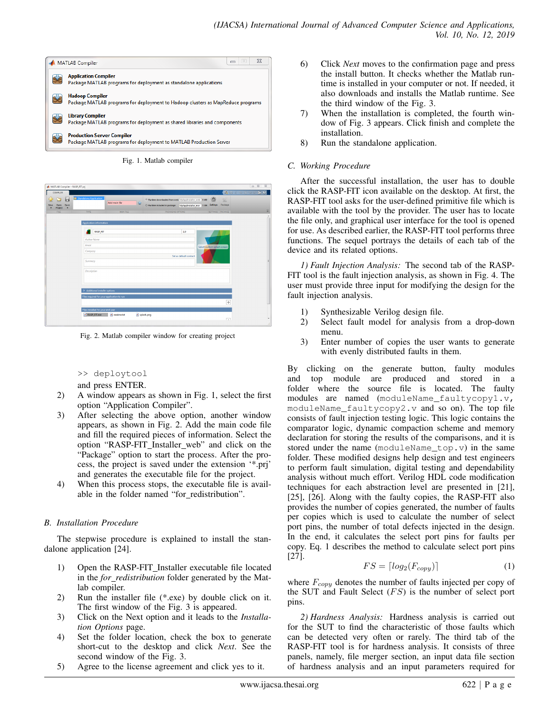

Fig. 1. Matlab compiler

| MATLAB Compiler - RASP_FIT.prj                                                  |                                            |                                   |            |                                                                                                                                            |                                          |                               | $= 0$ |
|---------------------------------------------------------------------------------|--------------------------------------------|-----------------------------------|------------|--------------------------------------------------------------------------------------------------------------------------------------------|------------------------------------------|-------------------------------|-------|
| <b>COMPLER</b><br>÷<br>н<br>Save<br>Open<br><b>New</b><br>Project<br>۰<br>FILE: | Standalone Application<br><b>TYPE</b>      | Add main file<br><b>MAIN FILE</b> | ÷          | C Runtime downloaded from web MyAppInstaller_web 5 MB<br>O Runtime included in package MyAppInstaller_mcr 1 GB<br><b>PACKAGING OPTIONS</b> | ⊛<br><b>Settings</b><br>SETTINGS PACKAGE | 马口<br>$\mathbb{Z}$<br>Package | $= 0$ |
|                                                                                 | Application information                    |                                   |            |                                                                                                                                            |                                          |                               |       |
|                                                                                 | <b>RASP_FIT</b>                            |                                   |            | 1.0                                                                                                                                        |                                          |                               |       |
|                                                                                 | <b>Author Name</b>                         |                                   |            |                                                                                                                                            |                                          |                               |       |
|                                                                                 | Email                                      |                                   |            |                                                                                                                                            | Select custom splash screen              |                               |       |
|                                                                                 | Company                                    |                                   |            |                                                                                                                                            |                                          |                               |       |
|                                                                                 | Summary                                    |                                   |            | Set as default contact                                                                                                                     |                                          |                               |       |
|                                                                                 | Description                                |                                   |            |                                                                                                                                            |                                          |                               |       |
|                                                                                 |                                            |                                   |            |                                                                                                                                            |                                          |                               |       |
|                                                                                 | Additional installer options               |                                   |            |                                                                                                                                            |                                          |                               |       |
|                                                                                 | Files required for your application to run |                                   |            |                                                                                                                                            |                                          | ÷                             |       |
|                                                                                 | Files installed for your end user          |                                   |            |                                                                                                                                            |                                          |                               |       |
|                                                                                 | · RASP_FIT.exe                             | $e$ readme.bd                     | splash.png |                                                                                                                                            |                                          |                               |       |

Fig. 2. Matlab compiler window for creating project

>> deploytool

and press ENTER.

- 2) A window appears as shown in Fig. 1, select the first option "Application Compiler".
- 3) After selecting the above option, another window appears, as shown in Fig. 2. Add the main code file and fill the required pieces of information. Select the option "RASP-FIT Installer web" and click on the "Package" option to start the process. After the process, the project is saved under the extension '\*.prj' and generates the executable file for the project.
- 4) When this process stops, the executable file is available in the folder named "for\_redistribution".

### *B. Installation Procedure*

The stepwise procedure is explained to install the standalone application [24].

- 1) Open the RASP-FIT Installer executable file located in the *for redistribution* folder generated by the Matlab compiler.
- 2) Run the installer file (\*.exe) by double click on it. The first window of the Fig. 3 is appeared.
- 3) Click on the Next option and it leads to the *Installation Options* page.
- 4) Set the folder location, check the box to generate short-cut to the desktop and click *Next*. See the second window of the Fig. 3.
- 5) Agree to the license agreement and click yes to it.
- 6) Click *Next* moves to the confirmation page and press the install button. It checks whether the Matlab runtime is installed in your computer or not. If needed, it also downloads and installs the Matlab runtime. See the third window of the Fig. 3.
- 7) When the installation is completed, the fourth window of Fig. 3 appears. Click finish and complete the installation.
- 8) Run the standalone application.

## *C. Working Procedure*

After the successful installation, the user has to double click the RASP-FIT icon available on the desktop. At first, the RASP-FIT tool asks for the user-defined primitive file which is available with the tool by the provider. The user has to locate the file only, and graphical user interface for the tool is opened for use. As described earlier, the RASP-FIT tool performs three functions. The sequel portrays the details of each tab of the device and its related options.

*1) Fault Injection Analysis:* The second tab of the RASP-FIT tool is the fault injection analysis, as shown in Fig. 4. The user must provide three input for modifying the design for the fault injection analysis.

- 1) Synthesizable Verilog design file.
- 2) Select fault model for analysis from a drop-down menu.
- 3) Enter number of copies the user wants to generate with evenly distributed faults in them.

By clicking on the generate button, faulty modules and top module are produced and stored in a folder where the source file is located. The faulty modules are named (moduleName\_faultycopy1.v, moduleName\_faultycopy2.v and so on). The top file consists of fault injection testing logic. This logic contains the comparator logic, dynamic compaction scheme and memory declaration for storing the results of the comparisons, and it is stored under the name (moduleName\_top.v) in the same folder. These modified designs help design and test engineers to perform fault simulation, digital testing and dependability analysis without much effort. Verilog HDL code modification techniques for each abstraction level are presented in [21], [25], [26]. Along with the faulty copies, the RASP-FIT also provides the number of copies generated, the number of faults per copies which is used to calculate the number of select port pins, the number of total defects injected in the design. In the end, it calculates the select port pins for faults per copy. Eq. 1 describes the method to calculate select port pins [27].

$$
FS = \lceil \log_2(F_{copy}) \rceil \tag{1}
$$

where  $F_{conv}$  denotes the number of faults injected per copy of the SUT and Fault Select  $(FS)$  is the number of select port pins.

*2) Hardness Analysis:* Hardness analysis is carried out for the SUT to find the characteristic of those faults which can be detected very often or rarely. The third tab of the RASP-FIT tool is for hardness analysis. It consists of three panels, namely, file merger section, an input data file section of hardness analysis and an input parameters required for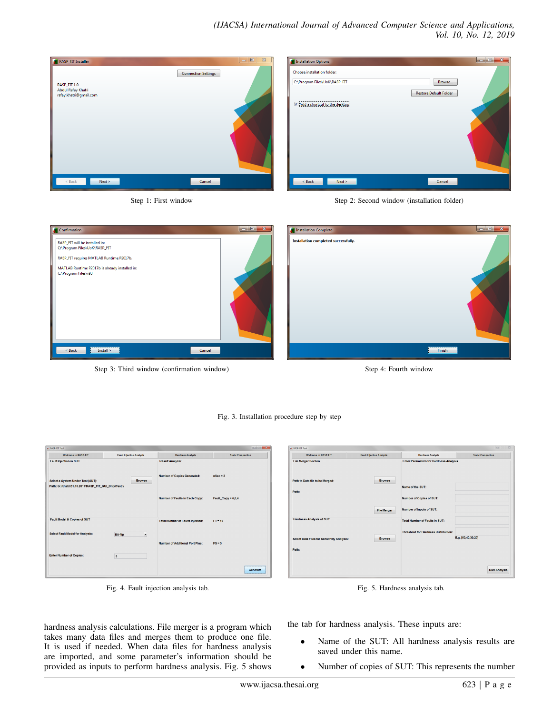# *(IJACSA) International Journal of Advanced Computer Science and Applications, Vol. 10, No. 12, 2019*



| <b>Installation Options</b>            | $\mathbf{x}$<br>$\vert$ o $\vert$ 0 $\vert$ |
|----------------------------------------|---------------------------------------------|
| Choose installation folder:            |                                             |
| C:\Program Files\UoK\RASP_FIT          | Browse                                      |
|                                        | <b>Restore Default Folder</b>               |
| -----<br>Add a shortcut to the desktop |                                             |
|                                        |                                             |
|                                        |                                             |
|                                        |                                             |
|                                        |                                             |
|                                        |                                             |
|                                        |                                             |
| $8$ Back<br>Next >                     | Cancel                                      |
|                                        |                                             |

Step 1: First window Step 2: Second window (installation folder)

| Confirmation                                                                                                                                                                          | Installation Complete                |
|---------------------------------------------------------------------------------------------------------------------------------------------------------------------------------------|--------------------------------------|
| RASP_FIT will be installed in:<br>C:\Program Files\UoK\RASP_FIT<br>RASP_FIT requires MATLAB Runtime R2017b.<br>MATLAB Runtime R2017b is already installed in:<br>C:\Program Files\v93 | Installation completed successfully. |
| Install ><br>Cancel<br>< Back                                                                                                                                                         | Finish                               |

Fig. 3. Installation procedure step by step

Step 3: Third window (confirmation window) Step 4: Fourth window



| <b>Welcome to RASP-FIT</b>                                                               | <b>Fault Injection Analysis</b> | <b>Hardness Analysis</b>                | <b>Static Compaction</b> |
|------------------------------------------------------------------------------------------|---------------------------------|-----------------------------------------|--------------------------|
| <b>Fault Injection in SUT</b>                                                            |                                 | <b>Result Analyzer</b>                  |                          |
| Select a System Under Test (SUT):<br>Path: G:\Khatri\31.10.2017\RASP_FIT_GUI_Only\Test.v | <b>Browse</b>                   | <b>Number of Copies Generated:</b>      | $nsec = 3$               |
|                                                                                          |                                 | <b>Number of Faults in Each Copy:</b>   | Fault_Copy = 6,6,4       |
| Fault Model & Copies of SUT                                                              |                                 | <b>Total Number of Faults Injected:</b> | $FT = 16$                |
| <b>Select Fault Model for Analysis:</b>                                                  | <b>Bit-flip</b>                 |                                         |                          |
|                                                                                          |                                 | Number of Additional Port Pins:         | $FS = 3$                 |
| <b>Enter Number of Copies:</b>                                                           | 3                               |                                         |                          |
|                                                                                          |                                 |                                         | Generate                 |

Fig. 4. Fault injection analysis tab.

hardness analysis calculations. File merger is a program which takes many data files and merges them to produce one file. It is used if needed. When data files for hardness analysis are imported, and some parameter's information should be provided as inputs to perform hardness analysis. Fig. 5 shows

| <b>Welcome to RASP-FIT</b>                         | <b>Fault Injection Analysis</b> | <b>Hardness Analysis</b>                      | <b>Static Compaction</b> |
|----------------------------------------------------|---------------------------------|-----------------------------------------------|--------------------------|
| <b>File Merger Section</b>                         |                                 | <b>Enter Parameters for Hardness Analysis</b> |                          |
| Path to Data file to be Merged:                    | <b>Browse</b>                   |                                               |                          |
| Path:                                              |                                 | Name of the SUT:                              |                          |
|                                                    |                                 | <b>Number of Copies of SUT:</b>               |                          |
|                                                    | <b>File Merger</b>              | Number of Inputs of SUT:                      |                          |
| <b>Hardness Analysis of SUT</b>                    |                                 | <b>Total Number of Faults in SUT:</b>         |                          |
|                                                    |                                 | <b>Threshold for Hardness Distribution:</b>   |                          |
| <b>Select Data Files for Sensitivity Analysis:</b> | <b>Browse</b>                   |                                               | E.g. [50,40,30,20]       |
| Path:                                              |                                 |                                               |                          |
|                                                    |                                 |                                               |                          |
|                                                    |                                 |                                               | <b>Run Analysis</b>      |



the tab for hardness analysis. These inputs are:

- Name of the SUT: All hardness analysis results are saved under this name.
- Number of copies of SUT: This represents the number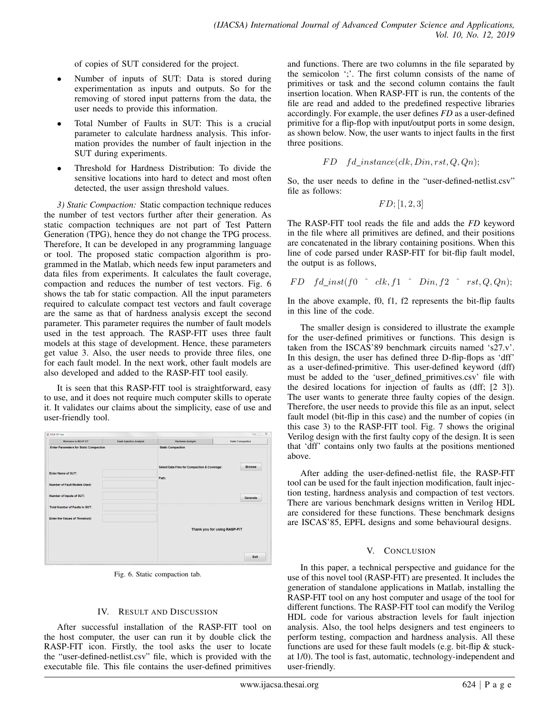of copies of SUT considered for the project.

- Number of inputs of SUT: Data is stored during experimentation as inputs and outputs. So for the removing of stored input patterns from the data, the user needs to provide this information.
- Total Number of Faults in SUT: This is a crucial parameter to calculate hardness analysis. This information provides the number of fault injection in the SUT during experiments.
- Threshold for Hardness Distribution: To divide the sensitive locations into hard to detect and most often detected, the user assign threshold values.

*3) Static Compaction:* Static compaction technique reduces the number of test vectors further after their generation. As static compaction techniques are not part of Test Pattern Generation (TPG), hence they do not change the TPG process. Therefore, It can be developed in any programming language or tool. The proposed static compaction algorithm is programmed in the Matlab, which needs few input parameters and data files from experiments. It calculates the fault coverage, compaction and reduces the number of test vectors. Fig. 6 shows the tab for static compaction. All the input parameters required to calculate compact test vectors and fault coverage are the same as that of hardness analysis except the second parameter. This parameter requires the number of fault models used in the test approach. The RASP-FIT uses three fault models at this stage of development. Hence, these parameters get value 3. Also, the user needs to provide three files, one for each fault model. In the next work, other fault models are also developed and added to the RASP-FIT tool easily.

It is seen that this RASP-FIT tool is straightforward, easy to use, and it does not require much computer skills to operate it. It validates our claims about the simplicity, ease of use and user-friendly tool.



Fig. 6. Static compaction tab.

#### IV. RESULT AND DISCUSSION

After successful installation of the RASP-FIT tool on the host computer, the user can run it by double click the RASP-FIT icon. Firstly, the tool asks the user to locate the "user-defined-netlist.csv" file, which is provided with the executable file. This file contains the user-defined primitives

and functions. There are two columns in the file separated by the semicolon ';'. The first column consists of the name of primitives or task and the second column contains the fault insertion location. When RASP-FIT is run, the contents of the file are read and added to the predefined respective libraries accordingly. For example, the user defines *FD* as a user-defined primitive for a flip-flop with input/output ports in some design, as shown below. Now, the user wants to inject faults in the first three positions.

$$
FD \quad fd\_instance(clk, Din,rst, Q, Qn);
$$

So, the user needs to define in the "user-defined-netlist.csv" file as follows:

$$
FD; [1,2,3]
$$

The RASP-FIT tool reads the file and adds the *FD* keyword in the file where all primitives are defined, and their positions are concatenated in the library containing positions. When this line of code parsed under RASP-FIT for bit-flip fault model, the output is as follows,

$$
FD
$$
  $fd\_inst(f0 \quad ck, f1 \quad Din, f2 \quad rst, Q, Qn);$ 

In the above example, f0, f1, f2 represents the bit-flip faults in this line of the code.

The smaller design is considered to illustrate the example for the user-defined primitives or functions. This design is taken from the ISCAS'89 benchmark circuits named 's27.v'. In this design, the user has defined three D-flip-flops as 'dff' as a user-defined-primitive. This user-defined keyword (dff) must be added to the 'user defined primitives.csv' file with the desired locations for injection of faults as (dff; [2 3]). The user wants to generate three faulty copies of the design. Therefore, the user needs to provide this file as an input, select fault model (bit-flip in this case) and the number of copies (in this case 3) to the RASP-FIT tool. Fig. 7 shows the original Verilog design with the first faulty copy of the design. It is seen that 'dff' contains only two faults at the positions mentioned above.

After adding the user-defined-netlist file, the RASP-FIT tool can be used for the fault injection modification, fault injection testing, hardness analysis and compaction of test vectors. There are various benchmark designs written in Verilog HDL are considered for these functions. These benchmark designs are ISCAS'85, EPFL designs and some behavioural designs.

### V. CONCLUSION

In this paper, a technical perspective and guidance for the use of this novel tool (RASP-FIT) are presented. It includes the generation of standalone applications in Matlab, installing the RASP-FIT tool on any host computer and usage of the tool for different functions. The RASP-FIT tool can modify the Verilog HDL code for various abstraction levels for fault injection analysis. Also, the tool helps designers and test engineers to perform testing, compaction and hardness analysis. All these functions are used for these fault models (e.g. bit-flip & stuckat 1/0). The tool is fast, automatic, technology-independent and user-friendly.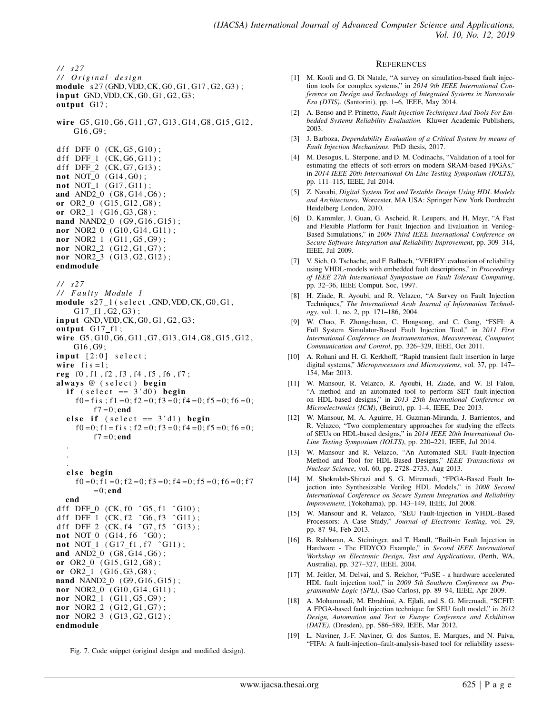*/ / s 2 7 / / O r i g i n a l d e s i g n* module s 27 (GND, VDD, CK, G0, G1, G17, G2, G3);  $input$  GND, VDD, CK, G0, G1, G2, G3; output G17; wire G5, G10, G6, G11, G7, G13, G14, G8, G15, G12, G16 , G9 ; d f f  $DFF_0$  (CK, G5, G10); d f f  $DFF_1$  (CK, G6, G11); d f f  $DFF_2$  (CK, G7, G13);  $not NOT_0 (G14, G0);$  $not NOT_1 (G17, G11);$ and AND2\_0 (G8, G14, G6); or  $OR2_0$  ( $GI5, G12, G8$ ); or OR2\_1 (G16, G3, G8); nand NAND2\_0 (G9, G16, G15); nor NOR2\_0 (G10, G14, G11); nor  $NOR2_1$  (G11, G5, G9); nor NOR2\_2 (G12, G1, G7); nor NOR2\_3 (G13, G2, G12); endmodule */ / s 2 7 / / F a u l t y Module 1* module  $s27_1$  (select, GND, VDD, CK, G0, G1,  $G17_f1, G2, G3$ ;  $input$  GND, VDD, CK, G0, G1, G2, G3; output  $G17_f1$ ; wire G5, G10, G6, G11, G7, G13, G14, G8, G15, G12, G16 , G9 ;  $input$  [2:0] select; wire  $f$  is =1; reg f0, f1, f2, f3, f4, f5, f6, f7; always @ (select) begin if (select  $== 3'd0$ ) begin  $f0 = f i s$ ;  $f1 = 0$ ;  $f2 = 0$ ;  $f3 = 0$ ;  $f4 = 0$ ;  $f5 = 0$ ;  $f6 = 0$ ;  $f7 = 0$ ; end else if  $(self = 3'd1)$  begin  $f0 = 0$ ; f 1 = f i s; f 2 = 0; f 3 = 0; f 4 = 0; f 5 = 0; f 6 = 0;  $f7 = 0;$  end . . . else begin  $f0 = 0$ ; f 1 = 0; f 2 = 0; f 3 = 0; f 4 = 0; f 5 = 0; f 6 = 0; f 7  $= 0;$ end end d f f DFF\_0  $(CK, f0 \cap G5, f1 \cap G10)$ ; d f f DFF  $\perp$  (CK, f  $2 \text{ }^{\circ}$  G6, f  $3 \text{ }^{\circ}$  G11); d f f DFF $-2$  (CK, f4  $\degree$  G7, f5  $\degree$  G13); not NOT\_0 (G14, f6 ^G0); not NOT<sub>1</sub> ( $G17_f1$ ,  $f7$   $^{\circ}G11$ ); and AND2\_0 (G8, G14, G6); or  $OR2_0$  ( $GI5, G12, G8$ ); or  $OR2_1$  ( $G16, G3, G8$ ); nand NAND2\_0 (G9, G16, G15); nor NOR2\_0 (G10, G14, G11); nor NOR2\_1 (G11, G5, G9); nor NOR2\_2 (G12, G1, G7); nor NOR2\_3 (G13, G2, G12); endmodule

Fig. 7. Code snippet (original design and modified design).

#### **REFERENCES**

- [1] M. Kooli and G. Di Natale, "A survey on simulation-based fault injection tools for complex systems," in *2014 9th IEEE International Conference on Design and Technology of Integrated Systems in Nanoscale Era (DTIS)*, (Santorini), pp. 1–6, IEEE, May 2014.
- [2] A. Benso and P. Prinetto, *Fault Injection Techniques And Tools For Embedded Systems Reliability Evaluation.* Kluwer Academic Publishers, 2003.
- [3] J. Barboza, *Dependability Evaluation of a Critical System by means of Fault Injection Mechanisms*. PhD thesis, 2017.
- [4] M. Desogus, L. Sterpone, and D. M. Codinachs, "Validation of a tool for estimating the effects of soft-errors on modern SRAM-based FPGAs," in *2014 IEEE 20th International On-Line Testing Symposium (IOLTS)*, pp. 111–115, IEEE, Jul 2014.
- [5] Z. Navabi, *Digital System Test and Testable Design Using HDL Models and Architectures*. Worcester, MA USA: Springer New York Dordrecht Heidelberg London, 2010.
- [6] D. Kammler, J. Guan, G. Ascheid, R. Leupers, and H. Meyr, "A Fast and Flexible Platform for Fault Injection and Evaluation in Verilog-Based Simulations," in *2009 Third IEEE International Conference on Secure Software Integration and Reliability Improvement*, pp. 309–314, IEEE, Jul 2009.
- [7] V. Sieh, O. Tschache, and F. Balbach, "VERIFY: evaluation of reliability using VHDL-models with embedded fault descriptions," in *Proceedings of IEEE 27th International Symposium on Fault Tolerant Computing*, pp. 32–36, IEEE Comput. Soc, 1997.
- [8] H. Ziade, R. Ayoubi, and R. Velazco, "A Survey on Fault Injection Techniques," *The International Arab Journal of Information Technology*, vol. 1, no. 2, pp. 171–186, 2004.
- [9] W. Chao, F. Zhongchuan, C. Hongsong, and C. Gang, "FSFI: A Full System Simulator-Based Fault Injection Tool," in *2011 First International Conference on Instrumentation, Measurement, Computer, Communication and Control*, pp. 326–329, IEEE, Oct 2011.
- [10] A. Rohani and H. G. Kerkhoff, "Rapid transient fault insertion in large digital systems," *Microprocessors and Microsystems*, vol. 37, pp. 147– 154, Mar 2013.
- [11] W. Mansour, R. Velazco, R. Ayoubi, H. Ziade, and W. El Falou, "A method and an automated tool to perform SET fault-injection on HDL-based designs," in *2013 25th International Conference on Microelectronics (ICM)*, (Beirut), pp. 1–4, IEEE, Dec 2013.
- [12] W. Mansour, M. A. Aguirre, H. Guzman-Miranda, J. Barrientos, and R. Velazco, "Two complementary approaches for studying the effects of SEUs on HDL-based designs," in *2014 IEEE 20th International On-Line Testing Symposium (IOLTS)*, pp. 220–221, IEEE, Jul 2014.
- [13] W. Mansour and R. Velazco, "An Automated SEU Fault-Injection Method and Tool for HDL-Based Designs," *IEEE Transactions on Nuclear Science*, vol. 60, pp. 2728–2733, Aug 2013.
- [14] M. Shokrolah-Shirazi and S. G. Miremadi, "FPGA-Based Fault Injection into Synthesizable Verilog HDL Models," in *2008 Second International Conference on Secure System Integration and Reliability Improvement*, (Yokohama), pp. 143–149, IEEE, Jul 2008.
- [15] W. Mansour and R. Velazco, "SEU Fault-Injection in VHDL-Based Processors: A Case Study," *Journal of Electronic Testing*, vol. 29, pp. 87–94, Feb 2013.
- [16] B. Rahbaran, A. Steininger, and T. Handl, "Built-in Fault Injection in Hardware - The FIDYCO Example," in *Second IEEE International Workshop on Electronic Design, Test and Applications*, (Perth, WA, Australia), pp. 327–327, IEEE, 2004.
- [17] M. Jeitler, M. Delvai, and S. Reichor, "FuSE a hardware accelerated HDL fault injection tool," in *2009 5th Southern Conference on Programmable Logic (SPL)*, (Sao Carlos), pp. 89–94, IEEE, Apr 2009.
- [18] A. Mohammadi, M. Ebrahimi, A. Ejlali, and S. G. Miremadi, "SCFIT: A FPGA-based fault injection technique for SEU fault model," in *2012 Design, Automation and Test in Europe Conference and Exhibition (DATE)*, (Dresden), pp. 586–589, IEEE, Mar 2012.
- [19] L. Naviner, J.-F. Naviner, G. dos Santos, E. Marques, and N. Paiva, "FIFA: A fault-injection–fault-analysis-based tool for reliability assess-